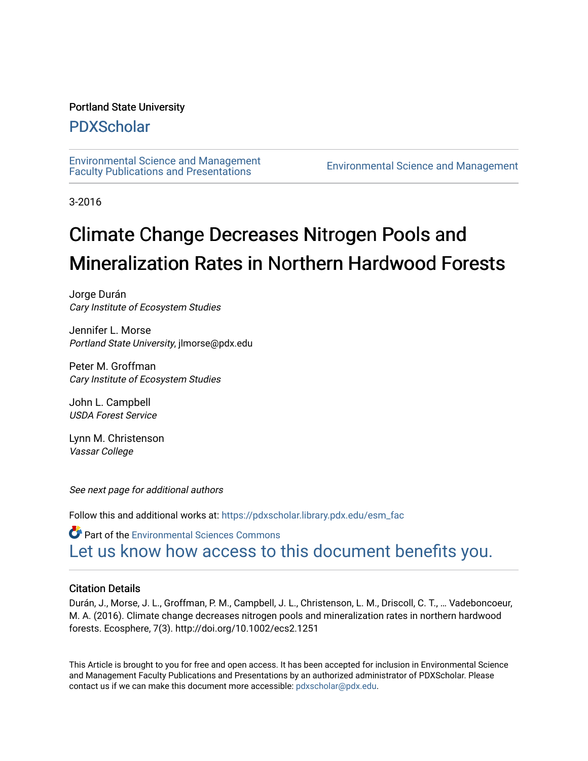# Portland State University

# [PDXScholar](https://pdxscholar.library.pdx.edu/)

[Environmental Science and Management](https://pdxscholar.library.pdx.edu/esm_fac)  [Faculty Publications and Presentations](https://pdxscholar.library.pdx.edu/esm_fac) [Environmental Science and Management](https://pdxscholar.library.pdx.edu/esm) 

3-2016

# Climate Change Decreases Nitrogen Pools and Mineralization Rates in Northern Hardwood Forests

Jorge Durán Cary Institute of Ecosystem Studies

Jennifer L. Morse Portland State University, jlmorse@pdx.edu

Peter M. Groffman Cary Institute of Ecosystem Studies

John L. Campbell USDA Forest Service

Lynn M. Christenson Vassar College

See next page for additional authors

Follow this and additional works at: [https://pdxscholar.library.pdx.edu/esm\\_fac](https://pdxscholar.library.pdx.edu/esm_fac?utm_source=pdxscholar.library.pdx.edu%2Fesm_fac%2F148&utm_medium=PDF&utm_campaign=PDFCoverPages) 

Part of the [Environmental Sciences Commons](http://network.bepress.com/hgg/discipline/167?utm_source=pdxscholar.library.pdx.edu%2Fesm_fac%2F148&utm_medium=PDF&utm_campaign=PDFCoverPages) [Let us know how access to this document benefits you.](http://library.pdx.edu/services/pdxscholar-services/pdxscholar-feedback/?ref=https://pdxscholar.library.pdx.edu/esm_fac/148) 

# Citation Details

Durán, J., Morse, J. L., Groffman, P. M., Campbell, J. L., Christenson, L. M., Driscoll, C. T., … Vadeboncoeur, M. A. (2016). Climate change decreases nitrogen pools and mineralization rates in northern hardwood forests. Ecosphere, 7(3). http://doi.org/10.1002/ecs2.1251

This Article is brought to you for free and open access. It has been accepted for inclusion in Environmental Science and Management Faculty Publications and Presentations by an authorized administrator of PDXScholar. Please contact us if we can make this document more accessible: [pdxscholar@pdx.edu](mailto:pdxscholar@pdx.edu).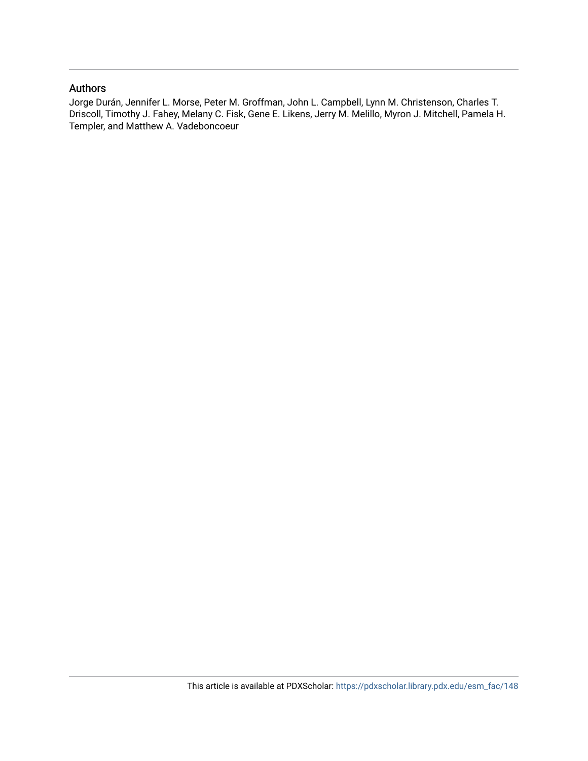# Authors

Jorge Durán, Jennifer L. Morse, Peter M. Groffman, John L. Campbell, Lynn M. Christenson, Charles T. Driscoll, Timothy J. Fahey, Melany C. Fisk, Gene E. Likens, Jerry M. Melillo, Myron J. Mitchell, Pamela H. Templer, and Matthew A. Vadeboncoeur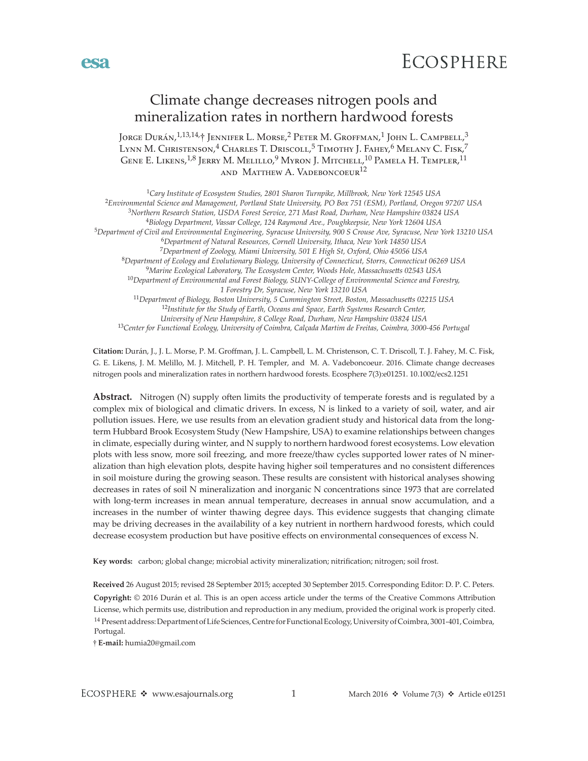

# Climate change decreases nitrogen pools and mineralization rates in northern hardwood forests

JORGE DURÁN, <sup>1,13,14,</sup>† JENNIFER L. MORSE,<sup>2</sup> Peter M. Groffman,<sup>1</sup> John L. Campbell,<sup>3</sup> Lynn M. Christenson, $^4$  Charles T. Driscoll, $^5$  Timothy J. Fahey, $^6$  Melany C. Fisk, $^7$ GENE E. LIKENS,<sup>1,8</sup> JERRY M. MELILLO,<sup>9</sup> MYRON J. MITCHELL,<sup>10</sup> PAMELA H. TEMPLER,<sup>11</sup> and Matthew A. Vadeboncoeur<sup>12</sup>

*Cary Institute of Ecosystem Studies, 2801 Sharon Turnpike, Millbrook, New York 12545 USA Environmental Science and Management, Portland State University, PO Box 751 (ESM), Portland, Oregon 97207 USA Northern Research Station, USDA Forest Service, 271 Mast Road, Durham, New Hampshire 03824 USA Biology Department, Vassar College, 124 Raymond Ave., Poughkeepsie, New York 12604 USA Department of Civil and Environmental Engineering, Syracuse University, 900 S Crouse Ave, Syracuse, New York 13210 USA Department of Natural Resources, Cornell University, Ithaca, New York 14850 USA Department of Zoology, Miami University, 501 E High St, Oxford, Ohio 45056 USA Department of Ecology and Evolutionary Biology, University of Connecticut, Storrs, Connecticut 06269 USA Marine Ecological Laboratory, The Ecosystem Center, Woods Hole, Massachusetts 02543 USA Department of Environmental and Forest Biology, SUNY-College of Environmental Science and Forestry, 1 Forestry Dr, Syracuse, New York 13210 USA Department of Biology, Boston University, 5 Cummington Street, Boston, Massachusetts 02215 USA Institute for the Study of Earth, Oceans and Space, Earth Systems Research Center, University of New Hampshire, 8 College Road, Durham, New Hampshire 03824 USA Center for Functional Ecology, University of Coimbra, Calçada Martim de Freitas, Coimbra, 3000-456 Portugal*

**Citation:** Durán, J., J. L. Morse, P. M. Groffman, J. L. Campbell, L. M. Christenson, C. T. Driscoll, T. J. Fahey, M. C. Fisk, G. E. Likens, J. M. Melillo, M. J. Mitchell, P. H. Templer, and M. A. Vadeboncoeur. 2016. Climate change decreases nitrogen pools and mineralization rates in northern hardwood forests. Ecosphere 7(3):e01251. 10.1002/ecs2.1251

**Abstract.** Nitrogen (N) supply often limits the productivity of temperate forests and is regulated by a complex mix of biological and climatic drivers. In excess, N is linked to a variety of soil, water, and air pollution issues. Here, we use results from an elevation gradient study and historical data from the longterm Hubbard Brook Ecosystem Study (New Hampshire, USA) to examine relationships between changes in climate, especially during winter, and N supply to northern hardwood forest ecosystems. Low elevation plots with less snow, more soil freezing, and more freeze/thaw cycles supported lower rates of N mineralization than high elevation plots, despite having higher soil temperatures and no consistent differences in soil moisture during the growing season. These results are consistent with historical analyses showing decreases in rates of soil N mineralization and inorganic N concentrations since 1973 that are correlated with long-term increases in mean annual temperature, decreases in annual snow accumulation, and a increases in the number of winter thawing degree days. This evidence suggests that changing climate may be driving decreases in the availability of a key nutrient in northern hardwood forests, which could decrease ecosystem production but have positive effects on environmental consequences of excess N.

**Key words:** carbon; global change; microbial activity mineralization; nitrification; nitrogen; soil frost.

**Received** 26 August 2015; revised 28 September 2015; accepted 30 September 2015. Corresponding Editor: D. P. C. Peters. <sup>14</sup> Present address: Department of Life Sciences, Centre for Functional Ecology, University of Coimbra, 3001-401, Coimbra, Portugal. **Copyright:** © 2016 Durán et al. This is an open access article under the terms of the [Creative Commons Attribution](http://creativecommons.org/licenses/by/3.0/) License, which permits use, distribution and reproduction in any medium, provided the original work is properly cited.

†**E-mail:** [humia20@gmail.com](mailto:humia20@gmail.com)

esa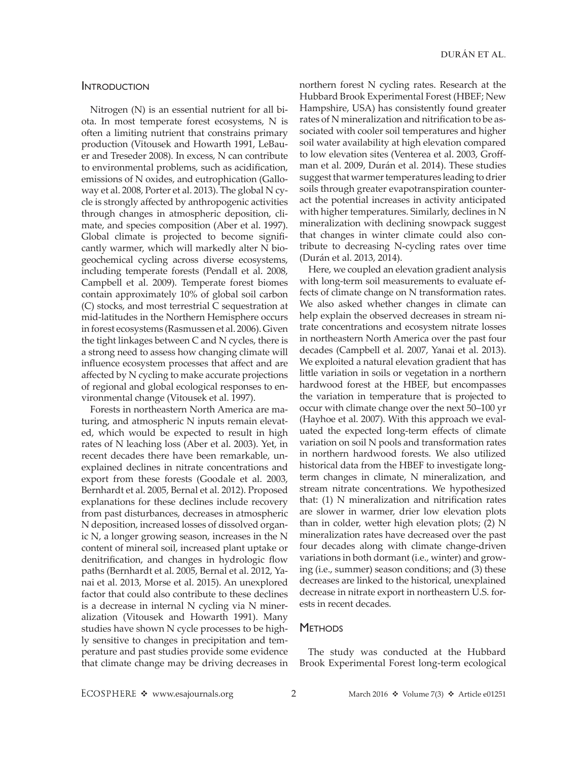#### Introduction

Nitrogen (N) is an essential nutrient for all biota. In most temperate forest ecosystems, N is often a limiting nutrient that constrains primary production (Vitousek and Howarth 1991, LeBauer and Treseder 2008). In excess, N can contribute to environmental problems, such as acidification, emissions of N oxides, and eutrophication (Galloway et al. 2008, Porter et al. 2013). The global N cycle is strongly affected by anthropogenic activities through changes in atmospheric deposition, climate, and species composition (Aber et al. 1997). Global climate is projected to become significantly warmer, which will markedly alter N biogeochemical cycling across diverse ecosystems, including temperate forests (Pendall et al. 2008, Campbell et al. 2009). Temperate forest biomes contain approximately 10% of global soil carbon (C) stocks, and most terrestrial C sequestration at mid-latitudes in the Northern Hemisphere occurs in forest ecosystems (Rasmussen et al. 2006). Given the tight linkages between C and N cycles, there is a strong need to assess how changing climate will influence ecosystem processes that affect and are affected by N cycling to make accurate projections of regional and global ecological responses to environmental change (Vitousek et al. 1997).

Forests in northeastern North America are maturing, and atmospheric N inputs remain elevated, which would be expected to result in high rates of N leaching loss (Aber et al. 2003). Yet, in recent decades there have been remarkable, unexplained declines in nitrate concentrations and export from these forests (Goodale et al. 2003, Bernhardt et al. 2005, Bernal et al. 2012). Proposed explanations for these declines include recovery from past disturbances, decreases in atmospheric N deposition, increased losses of dissolved organic N, a longer growing season, increases in the N content of mineral soil, increased plant uptake or denitrification, and changes in hydrologic flow paths (Bernhardt et al. 2005, Bernal et al. 2012, Yanai et al. 2013, Morse et al. 2015). An unexplored factor that could also contribute to these declines is a decrease in internal N cycling via N mineralization (Vitousek and Howarth 1991). Many studies have shown N cycle processes to be highly sensitive to changes in precipitation and temperature and past studies provide some evidence that climate change may be driving decreases in

northern forest N cycling rates. Research at the Hubbard Brook Experimental Forest (HBEF; New Hampshire, USA) has consistently found greater rates of N mineralization and nitrification to be associated with cooler soil temperatures and higher soil water availability at high elevation compared to low elevation sites (Venterea et al. 2003, Groffman et al. 2009, Durán et al. 2014). These studies suggest that warmer temperatures leading to drier soils through greater evapotranspiration counteract the potential increases in activity anticipated with higher temperatures. Similarly, declines in N mineralization with declining snowpack suggest that changes in winter climate could also contribute to decreasing N-cycling rates over time (Durán et al. 2013, 2014).

Here, we coupled an elevation gradient analysis with long-term soil measurements to evaluate effects of climate change on N transformation rates. We also asked whether changes in climate can help explain the observed decreases in stream nitrate concentrations and ecosystem nitrate losses in northeastern North America over the past four decades (Campbell et al. 2007, Yanai et al. 2013). We exploited a natural elevation gradient that has little variation in soils or vegetation in a northern hardwood forest at the HBEF, but encompasses the variation in temperature that is projected to occur with climate change over the next 50–100 yr (Hayhoe et al. 2007). With this approach we evaluated the expected long-term effects of climate variation on soil N pools and transformation rates in northern hardwood forests. We also utilized historical data from the HBEF to investigate longterm changes in climate, N mineralization, and stream nitrate concentrations. We hypothesized that: (1) N mineralization and nitrification rates are slower in warmer, drier low elevation plots than in colder, wetter high elevation plots; (2) N mineralization rates have decreased over the past four decades along with climate change-driven variations in both dormant (i.e., winter) and growing (i.e., summer) season conditions; and (3) these decreases are linked to the historical, unexplained decrease in nitrate export in northeastern U.S. forests in recent decades.

#### **METHODS**

The study was conducted at the Hubbard Brook Experimental Forest long-term ecological

ECOSPHERE  $\triangleleft$  www.esajournals.org 2 March 2016  $\triangleleft$  Volume 7(3)  $\triangleleft$  Article e01251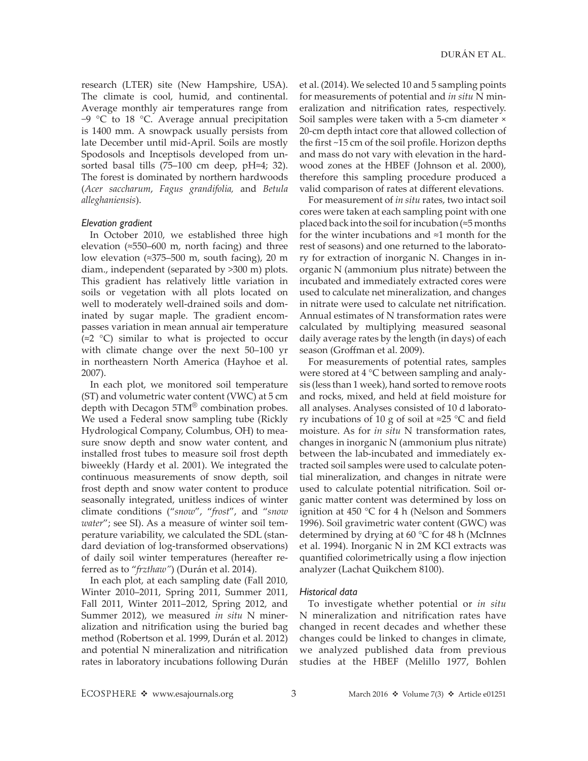research (LTER) site (New Hampshire, USA). The climate is cool, humid, and continental. Average monthly air temperatures range from −9 °C to 18 °C. Average annual precipitation is 1400 mm. A snowpack usually persists from late December until mid-April. Soils are mostly Spodosols and Inceptisols developed from unsorted basal tills (75–100 cm deep, pH≈4; 32). The forest is dominated by northern hardwoods (*Acer saccharum*, *Fagus grandifolia,* and *Betula alleghaniensis*).

#### *Elevation gradient*

In October 2010, we established three high elevation (≈550–600 m, north facing) and three low elevation (≈375–500 m, south facing), 20 m diam., independent (separated by >300 m) plots. This gradient has relatively little variation in soils or vegetation with all plots located on well to moderately well-drained soils and dominated by sugar maple. The gradient encompasses variation in mean annual air temperature (≈2 °C) similar to what is projected to occur with climate change over the next 50–100 yr in northeastern North America (Hayhoe et al. 2007).

In each plot, we monitored soil temperature (ST) and volumetric water content (VWC) at 5 cm depth with Decagon 5TM® combination probes. We used a Federal snow sampling tube (Rickly Hydrological Company, Columbus, OH) to measure snow depth and snow water content, and installed frost tubes to measure soil frost depth biweekly (Hardy et al. 2001). We integrated the continuous measurements of snow depth, soil frost depth and snow water content to produce seasonally integrated, unitless indices of winter climate conditions ("*snow*", "*frost*", and "*snow water*"; see SI). As a measure of winter soil temperature variability, we calculated the SDL (standard deviation of log-transformed observations) of daily soil winter temperatures (hereafter referred as to "*frzthaw"*) (Durán et al. 2014).

In each plot, at each sampling date (Fall 2010, Winter 2010–2011, Spring 2011, Summer 2011, Fall 2011, Winter 2011–2012, Spring 2012, and Summer 2012), we measured *in situ* N mineralization and nitrification using the buried bag method (Robertson et al. 1999, Durán et al. 2012) and potential N mineralization and nitrification rates in laboratory incubations following Durán et al. (2014). We selected 10 and 5 sampling points for measurements of potential and *in situ* N mineralization and nitrification rates, respectively. Soil samples were taken with a 5-cm diameter × 20-cm depth intact core that allowed collection of the first ~15 cm of the soil profile. Horizon depths and mass do not vary with elevation in the hardwood zones at the HBEF (Johnson et al. 2000), therefore this sampling procedure produced a valid comparison of rates at different elevations.

For measurement of *in situ* rates, two intact soil cores were taken at each sampling point with one placed back into the soil for incubation (≈5 months for the winter incubations and ≈1 month for the rest of seasons) and one returned to the laboratory for extraction of inorganic N. Changes in inorganic N (ammonium plus nitrate) between the incubated and immediately extracted cores were used to calculate net mineralization, and changes in nitrate were used to calculate net nitrification. Annual estimates of N transformation rates were calculated by multiplying measured seasonal daily average rates by the length (in days) of each season (Groffman et al. 2009).

For measurements of potential rates, samples were stored at 4 °C between sampling and analysis (less than 1 week), hand sorted to remove roots and rocks, mixed, and held at field moisture for all analyses. Analyses consisted of 10 d laboratory incubations of 10 g of soil at ≈25 °C and field moisture. As for *in situ* N transformation rates, changes in inorganic N (ammonium plus nitrate) between the lab-incubated and immediately extracted soil samples were used to calculate potential mineralization, and changes in nitrate were used to calculate potential nitrification. Soil organic matter content was determined by loss on ignition at 450 °C for 4 h (Nelson and Sommers 1996). Soil gravimetric water content (GWC) was determined by drying at 60 °C for 48 h (McInnes et al. 1994). Inorganic N in 2M KCl extracts was quantified colorimetrically using a flow injection analyzer (Lachat Quikchem 8100).

#### *Historical data*

To investigate whether potential or *in situ* N mineralization and nitrification rates have changed in recent decades and whether these changes could be linked to changes in climate, we analyzed published data from previous studies at the HBEF (Melillo 1977, Bohlen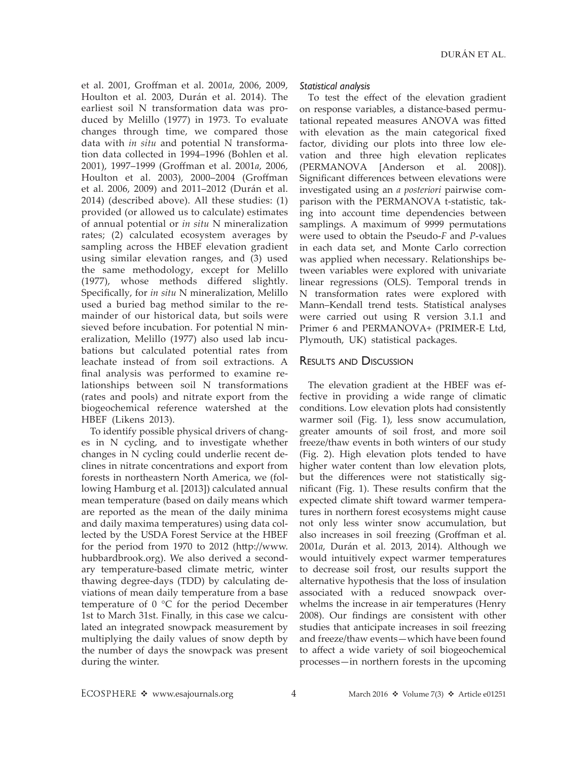et al. 2001, Groffman et al. 2001*a*, 2006, 2009, Houlton et al. 2003, Durán et al. 2014). The earliest soil N transformation data was produced by Melillo (1977) in 1973. To evaluate changes through time, we compared those data with *in situ* and potential N transformation data collected in 1994–1996 (Bohlen et al. 2001), 1997–1999 (Groffman et al. 2001*a*, 2006, Houlton et al. 2003), 2000–2004 (Groffman et al. 2006, 2009) and 2011–2012 (Durán et al. 2014) (described above). All these studies: (1) provided (or allowed us to calculate) estimates of annual potential or *in situ* N mineralization rates; (2) calculated ecosystem averages by sampling across the HBEF elevation gradient using similar elevation ranges, and (3) used the same methodology, except for Melillo (1977), whose methods differed slightly. Specifically, for *in situ* N mineralization, Melillo used a buried bag method similar to the remainder of our historical data, but soils were sieved before incubation. For potential N mineralization, Melillo (1977) also used lab incubations but calculated potential rates from leachate instead of from soil extractions. A final analysis was performed to examine relationships between soil N transformations (rates and pools) and nitrate export from the biogeochemical reference watershed at the HBEF (Likens 2013).

To identify possible physical drivers of changes in N cycling, and to investigate whether changes in N cycling could underlie recent declines in nitrate concentrations and export from forests in northeastern North America, we (following Hamburg et al. [2013]) calculated annual mean temperature (based on daily means which are reported as the mean of the daily minima and daily maxima temperatures) using data collected by the USDA Forest Service at the HBEF for the period from 1970 to 2012 ([http://www.](http://www.hubbardbrook.org) [hubbardbrook.org\)](http://www.hubbardbrook.org). We also derived a secondary temperature-based climate metric, winter thawing degree-days (TDD) by calculating deviations of mean daily temperature from a base temperature of 0 °C for the period December 1st to March 31st. Finally, in this case we calculated an integrated snowpack measurement by multiplying the daily values of snow depth by the number of days the snowpack was present during the winter.

#### *Statistical analysis*

To test the effect of the elevation gradient on response variables, a distance-based permutational repeated measures ANOVA was fitted with elevation as the main categorical fixed factor, dividing our plots into three low elevation and three high elevation replicates (PERMANOVA [Anderson et al. 2008]). Significant differences between elevations were investigated using an *a posteriori* pairwise comparison with the PERMANOVA t-statistic, taking into account time dependencies between samplings. A maximum of 9999 permutations were used to obtain the Pseudo-*F* and *P*-values in each data set, and Monte Carlo correction was applied when necessary. Relationships between variables were explored with univariate linear regressions (OLS). Temporal trends in N transformation rates were explored with Mann–Kendall trend tests. Statistical analyses were carried out using R version 3.1.1 and Primer 6 and PERMANOVA+ (PRIMER-E Ltd, Plymouth, UK) statistical packages.

#### Results and Discussion

The elevation gradient at the HBEF was effective in providing a wide range of climatic conditions. Low elevation plots had consistently warmer soil (Fig. 1), less snow accumulation, greater amounts of soil frost, and more soil freeze/thaw events in both winters of our study (Fig. 2). High elevation plots tended to have higher water content than low elevation plots, but the differences were not statistically significant (Fig. 1). These results confirm that the expected climate shift toward warmer temperatures in northern forest ecosystems might cause not only less winter snow accumulation, but also increases in soil freezing (Groffman et al. 2001*a*, Durán et al. 2013, 2014). Although we would intuitively expect warmer temperatures to decrease soil frost, our results support the alternative hypothesis that the loss of insulation associated with a reduced snowpack overwhelms the increase in air temperatures (Henry 2008). Our findings are consistent with other studies that anticipate increases in soil freezing and freeze/thaw events—which have been found to affect a wide variety of soil biogeochemical processes—in northern forests in the upcoming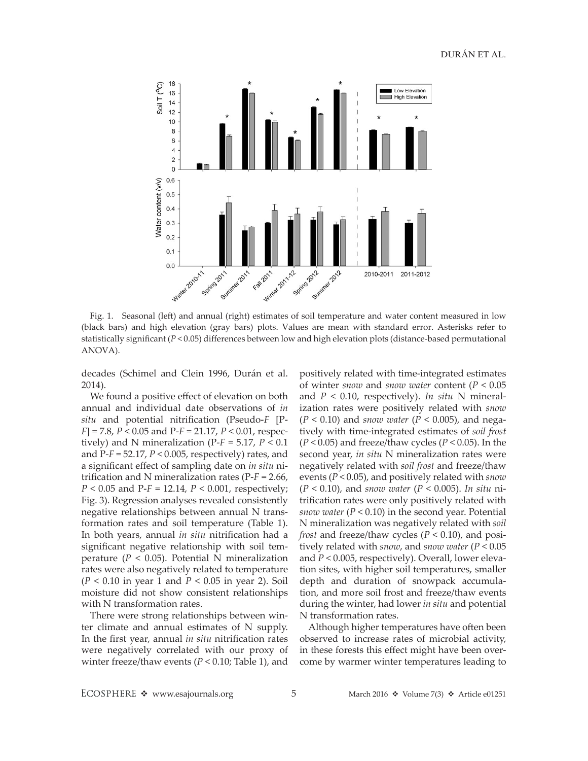

Fig. 1. Seasonal (left) and annual (right) estimates of soil temperature and water content measured in low (black bars) and high elevation (gray bars) plots. Values are mean with standard error. Asterisks refer to statistically significant (*P* < 0.05) differences between low and high elevation plots (distance-based permutational ANOVA).

decades (Schimel and Clein 1996, Durán et al. 2014).

We found a positive effect of elevation on both annual and individual date observations of *in situ* and potential nitrification (Pseudo-*F* [P-*F*] = 7.8, *P* < 0.05 and P-*F* = 21.17, *P* < 0.01, respectively) and N mineralization ( $P$ - $F$  = 5.17,  $P$  < 0.1 and P-*F* = 52.17, *P* < 0.005, respectively) rates, and a significant effect of sampling date on *in situ* nitrification and N mineralization rates (P-*F* = 2.66, *P* < 0.05 and P-*F* = 12.14, *P* < 0.001, respectively; Fig. 3). Regression analyses revealed consistently negative relationships between annual N transformation rates and soil temperature (Table 1). In both years, annual *in situ* nitrification had a significant negative relationship with soil temperature ( $P < 0.05$ ). Potential N mineralization rates were also negatively related to temperature (*P* < 0.10 in year 1 and *P* < 0.05 in year 2). Soil moisture did not show consistent relationships with N transformation rates.

There were strong relationships between winter climate and annual estimates of N supply. In the first year, annual *in situ* nitrification rates were negatively correlated with our proxy of winter freeze/thaw events (*P* < 0.10; Table 1), and

positively related with time-integrated estimates of winter *snow* and *snow water* content (*P* < 0.05 and *P* < 0.10, respectively). *In situ* N mineralization rates were positively related with *snow* (*P* < 0.10) and *snow water* (*P* < 0.005), and negatively with time-integrated estimates of *soil frost* (*P* < 0.05) and freeze/thaw cycles (*P* < 0.05). In the second year, *in situ* N mineralization rates were negatively related with *soil frost* and freeze/thaw events (*P* < 0.05), and positively related with *snow* (*P* < 0.10), and *snow water* (*P* < 0.005). *In situ* nitrification rates were only positively related with *snow water* (*P* < 0.10) in the second year. Potential N mineralization was negatively related with *soil frost* and freeze/thaw cycles (*P* < 0.10), and positively related with *snow*, and *snow water* (*P* < 0.05 and *P* < 0.005, respectively). Overall, lower elevation sites, with higher soil temperatures, smaller depth and duration of snowpack accumulation, and more soil frost and freeze/thaw events during the winter, had lower *in situ* and potential N transformation rates.

Although higher temperatures have often been observed to increase rates of microbial activity, in these forests this effect might have been overcome by warmer winter temperatures leading to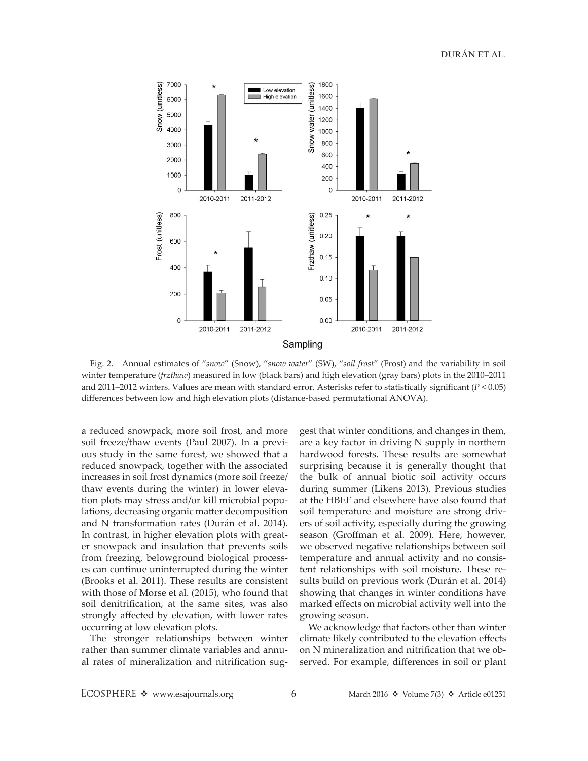

Fig. 2. Annual estimates of "*snow*" (Snow), "*snow water*" (SW), "*soil frost*" (Frost) and the variability in soil winter temperature (*frzthaw*) measured in low (black bars) and high elevation (gray bars) plots in the 2010–2011 and 2011–2012 winters. Values are mean with standard error. Asterisks refer to statistically significant (*P* < 0.05) differences between low and high elevation plots (distance-based permutational ANOVA).

a reduced snowpack, more soil frost, and more soil freeze/thaw events (Paul 2007). In a previous study in the same forest, we showed that a reduced snowpack, together with the associated increases in soil frost dynamics (more soil freeze/ thaw events during the winter) in lower elevation plots may stress and/or kill microbial populations, decreasing organic matter decomposition and N transformation rates (Durán et al. 2014). In contrast, in higher elevation plots with greater snowpack and insulation that prevents soils from freezing, belowground biological processes can continue uninterrupted during the winter (Brooks et al. 2011). These results are consistent with those of Morse et al. (2015), who found that soil denitrification, at the same sites, was also strongly affected by elevation, with lower rates occurring at low elevation plots.

The stronger relationships between winter rather than summer climate variables and annual rates of mineralization and nitrification suggest that winter conditions, and changes in them, are a key factor in driving N supply in northern hardwood forests. These results are somewhat surprising because it is generally thought that the bulk of annual biotic soil activity occurs during summer (Likens 2013). Previous studies at the HBEF and elsewhere have also found that soil temperature and moisture are strong drivers of soil activity, especially during the growing season (Groffman et al. 2009). Here, however, we observed negative relationships between soil temperature and annual activity and no consistent relationships with soil moisture. These results build on previous work (Durán et al. 2014) showing that changes in winter conditions have marked effects on microbial activity well into the growing season.

We acknowledge that factors other than winter climate likely contributed to the elevation effects on N mineralization and nitrification that we observed. For example, differences in soil or plant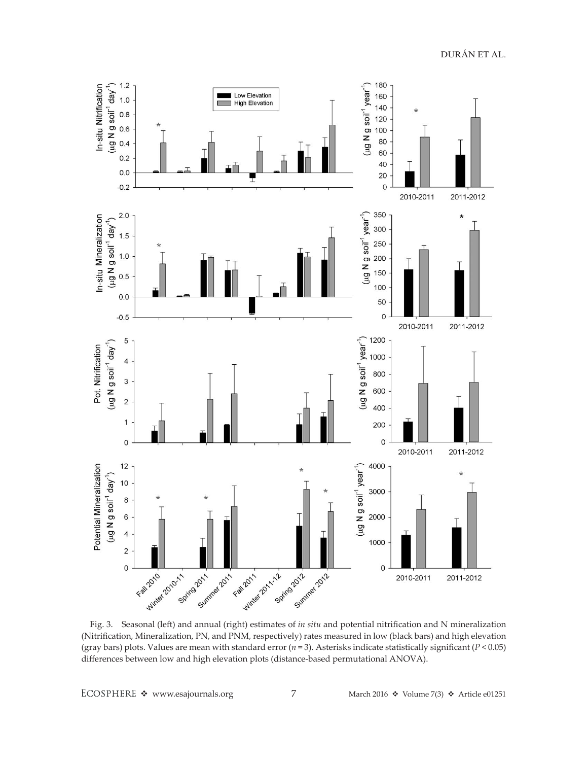180 In-situ Nitrification  $(\mu g \mathsf{N} g \mathsf{soil}^1 \mathsf{day}^1)$  $1.2$  $(\mu g \mathbf{N} g \text{ soil}^1 \text{ year}^1)$ Low Elevation 160  $1.0$ **High Elevation** 140  $0.8$ 120  $0.6$ 100 80  $0.4$ 60  $0.2$ 40  $0.0$ 20  $-0.2$  $\mathsf{O}\xspace$ 2010-2011 2011-2012 350 In-situ Mineralization  $2.0$ (µg N g soil<sup>-1</sup> year<sup>-1</sup>)  $\star$  $(\mu g \mathsf{N} g \mathsf{soil}^1 \mathsf{day}^1)$ 300  $1.5$ 250  $1.0$ 200 150  $0.5$ 100  $0.0$ 50  $-0.5$ 0 2010-2011 2011-2012 (µg N g soil<sup>-1</sup> year<sup>-1</sup>) 1200 5 (ug N g soil<sup>-1</sup> day<sup>-1</sup>) Pot. Nitrification 1000  $\overline{\mathbf{4}}$ 800  $\ensuremath{\mathsf{3}}$ 600  $\overline{c}$ 400  $\mathbf{1}$ 200  $\circ$  $\mathbf 0$ 2010-2011 2011-2012 4000 Potential Mineralization  $12$ (µg N g soil<sup>-1</sup> year<sup>-1</sup>)  $\star$  $(\mu g \mathsf{N} g \mathsf{soil}^1 \mathsf{day}^1)$ 10 3000 8 6 2000  $\overline{\mathbf{4}}$ 1000  $\mathbf 2$ Winter 2010 - Spi Summer 2011 Fall 2011 Winter 2011-12 Spring Bumm Spring Bum Summer 2012 Fall 2010  $\mathsf{O}\xspace$  $\mathsf{O}\xspace$ 2010-2011 2011-2012

Fig. 3. Seasonal (left) and annual (right) estimates of *in situ* and potential nitrification and N mineralization (Nitrification, Mineralization, PN, and PNM, respectively) rates measured in low (black bars) and high elevation (gray bars) plots. Values are mean with standard error (*n* = 3). Asterisks indicate statistically significant (*P* < 0.05) differences between low and high elevation plots (distance-based permutational ANOVA).

ECOSPHERE \* www.esajournals.org 7 March 2016 \* Volume 7(3) \* Article e01251

DURÁN ET AL.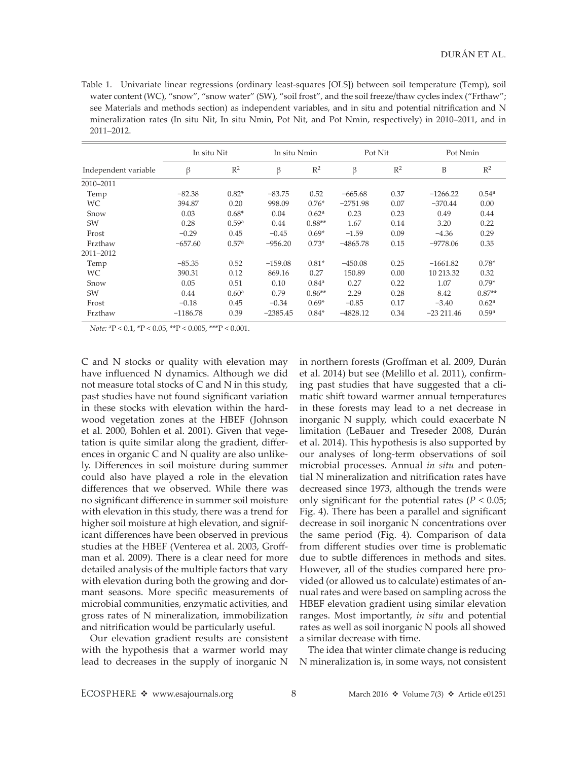Table 1. Univariate linear regressions (ordinary least-squares [OLS]) between soil temperature (Temp), soil water content (WC), "snow", "snow water" (SW), "soil frost", and the soil freeze/thaw cycles index ("Frthaw"; see Materials and methods section) as independent variables, and in situ and potential nitrification and N mineralization rates (In situ Nit, In situ Nmin, Pot Nit, and Pot Nmin, respectively) in 2010–2011, and in 2011–2012.

|                      | In situ Nit |                   | In situ Nmin |                   | Pot Nit    |                | Pot Nmin    |                   |
|----------------------|-------------|-------------------|--------------|-------------------|------------|----------------|-------------|-------------------|
| Independent variable | β           | $R^2$             | β            | $R^2$             | β          | $\mathbb{R}^2$ | B           | $\mathbb{R}^2$    |
| 2010-2011            |             |                   |              |                   |            |                |             |                   |
| Temp                 | $-82.38$    | $0.82*$           | $-83.75$     | 0.52              | $-665.68$  | 0.37           | $-1266.22$  | 0.54 <sup>a</sup> |
| WC.                  | 394.87      | 0.20              | 998.09       | $0.76*$           | $-2751.98$ | 0.07           | $-370.44$   | 0.00              |
| Snow                 | 0.03        | $0.68*$           | 0.04         | 0.62 <sup>a</sup> | 0.23       | 0.23           | 0.49        | 0.44              |
| <b>SW</b>            | 0.28        | 0.59 <sup>a</sup> | 0.44         | $0.88**$          | 1.67       | 0.14           | 3.20        | 0.22              |
| Frost                | $-0.29$     | 0.45              | $-0.45$      | $0.69*$           | $-1.59$    | 0.09           | $-4.36$     | 0.29              |
| Frzthaw              | $-657.60$   | 0.57 <sup>a</sup> | $-956.20$    | $0.73*$           | $-4865.78$ | 0.15           | $-9778.06$  | 0.35              |
| 2011-2012            |             |                   |              |                   |            |                |             |                   |
| Temp                 | $-85.35$    | 0.52              | $-159.08$    | $0.81*$           | $-450.08$  | 0.25           | $-1661.82$  | $0.78*$           |
| WС.                  | 390.31      | 0.12              | 869.16       | 0.27              | 150.89     | 0.00           | 10 213.32   | 0.32              |
| Snow                 | 0.05        | 0.51              | 0.10         | 0.84 <sup>a</sup> | 0.27       | 0.22           | 1.07        | $0.79*$           |
| SW                   | 0.44        | 0.60 <sup>a</sup> | 0.79         | $0.86**$          | 2.29       | 0.28           | 8.42        | $0.87**$          |
| Frost                | $-0.18$     | 0.45              | $-0.34$      | $0.69*$           | $-0.85$    | 0.17           | $-3.40$     | 0.62 <sup>a</sup> |
| Frzthaw              | $-1186.78$  | 0.39              | $-2385.45$   | $0.84*$           | $-4828.12$ | 0.34           | $-23211.46$ | 0.59 <sup>a</sup> |

 $Note:$   ${}^{\mathrm{a}}\mathrm{P} < 0.1,$   ${}^{\mathrm{*}}\mathrm{P} < 0.05,$   ${}^{\mathrm{*}*}\mathrm{P} < 0.005,$   ${}^{\mathrm{*}**\mathrm{P}} < 0.001.$ 

C and N stocks or quality with elevation may have influenced N dynamics. Although we did not measure total stocks of C and N in this study, past studies have not found significant variation in these stocks with elevation within the hardwood vegetation zones at the HBEF (Johnson et al. 2000, Bohlen et al. 2001). Given that vegetation is quite similar along the gradient, differences in organic C and N quality are also unlikely. Differences in soil moisture during summer could also have played a role in the elevation differences that we observed. While there was no significant difference in summer soil moisture with elevation in this study, there was a trend for higher soil moisture at high elevation, and significant differences have been observed in previous studies at the HBEF (Venterea et al. 2003, Groffman et al. 2009). There is a clear need for more detailed analysis of the multiple factors that vary with elevation during both the growing and dormant seasons. More specific measurements of microbial communities, enzymatic activities, and gross rates of N mineralization, immobilization and nitrification would be particularly useful.

Our elevation gradient results are consistent with the hypothesis that a warmer world may lead to decreases in the supply of inorganic N in northern forests (Groffman et al. 2009, Durán et al. 2014) but see (Melillo et al. 2011), confirming past studies that have suggested that a climatic shift toward warmer annual temperatures in these forests may lead to a net decrease in inorganic N supply, which could exacerbate N limitation (LeBauer and Treseder 2008, Durán et al. 2014). This hypothesis is also supported by our analyses of long-term observations of soil microbial processes. Annual *in situ* and potential N mineralization and nitrification rates have decreased since 1973, although the trends were only significant for the potential rates ( $P < 0.05$ ; Fig. 4). There has been a parallel and significant decrease in soil inorganic N concentrations over the same period (Fig. 4). Comparison of data from different studies over time is problematic due to subtle differences in methods and sites. However, all of the studies compared here provided (or allowed us to calculate) estimates of annual rates and were based on sampling across the HBEF elevation gradient using similar elevation ranges. Most importantly, *in situ* and potential rates as well as soil inorganic N pools all showed a similar decrease with time.

The idea that winter climate change is reducing N mineralization is, in some ways, not consistent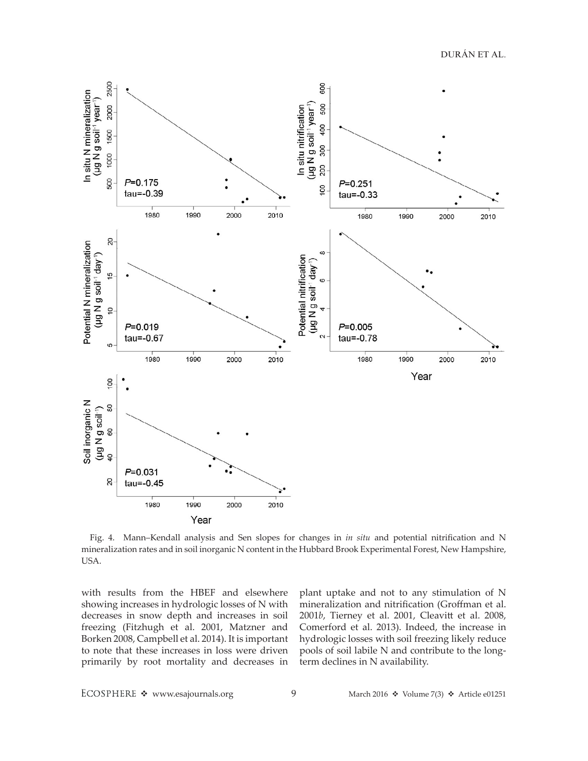DURÁN ET AL.



Fig. 4. Mann–Kendall analysis and Sen slopes for changes in *in situ* and potential nitrification and N mineralization rates and in soil inorganic N content in the Hubbard Brook Experimental Forest, New Hampshire, USA.

with results from the HBEF and elsewhere showing increases in hydrologic losses of N with decreases in snow depth and increases in soil freezing (Fitzhugh et al. 2001, Matzner and Borken 2008, Campbell et al. 2014). It is important to note that these increases in loss were driven primarily by root mortality and decreases in plant uptake and not to any stimulation of N mineralization and nitrification (Groffman et al. 2001*b*, Tierney et al. 2001, Cleavitt et al. 2008, Comerford et al. 2013). Indeed, the increase in hydrologic losses with soil freezing likely reduce pools of soil labile N and contribute to the longterm declines in N availability.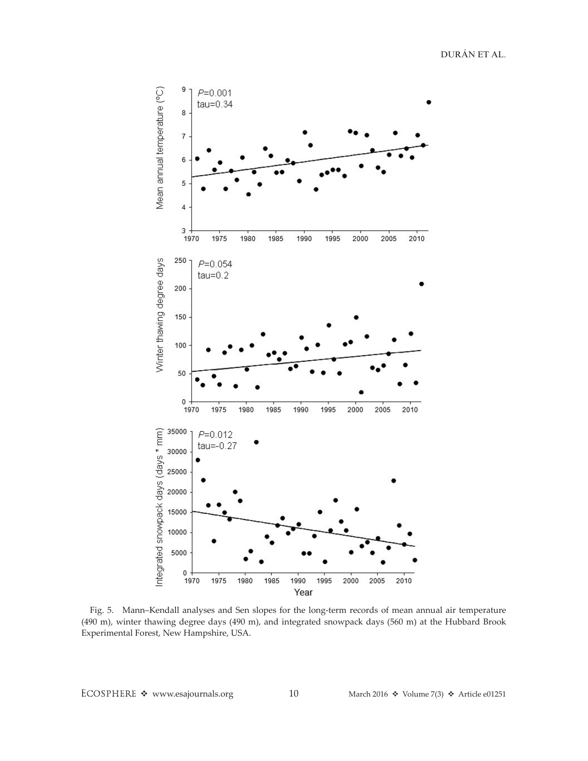DURÁN ET AL.



Fig. 5. Mann–Kendall analyses and Sen slopes for the long-term records of mean annual air temperature (490 m), winter thawing degree days (490 m), and integrated snowpack days (560 m) at the Hubbard Brook Experimental Forest, New Hampshire, USA.

ECOSPHERE  $\div$  www.esajournals.org 10 March 2016  $\div$  Volume 7(3)  $\div$  Article e01251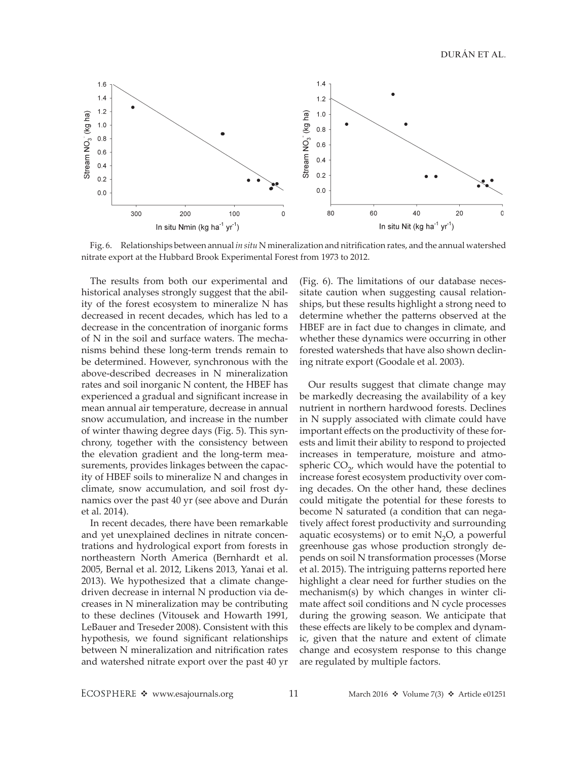DURÁN ET AL.



Fig. 6. Relationships between annual *in situ* N mineralization and nitrification rates, and the annual watershed nitrate export at the Hubbard Brook Experimental Forest from 1973 to 2012.

The results from both our experimental and historical analyses strongly suggest that the ability of the forest ecosystem to mineralize N has decreased in recent decades, which has led to a decrease in the concentration of inorganic forms of N in the soil and surface waters. The mechanisms behind these long-term trends remain to be determined. However, synchronous with the above-described decreases in N mineralization rates and soil inorganic N content, the HBEF has experienced a gradual and significant increase in mean annual air temperature, decrease in annual snow accumulation, and increase in the number of winter thawing degree days (Fig. 5). This synchrony, together with the consistency between the elevation gradient and the long-term measurements, provides linkages between the capacity of HBEF soils to mineralize N and changes in climate, snow accumulation, and soil frost dynamics over the past 40 yr (see above and Durán et al. 2014).

In recent decades, there have been remarkable and yet unexplained declines in nitrate concentrations and hydrological export from forests in northeastern North America (Bernhardt et al. 2005, Bernal et al. 2012, Likens 2013, Yanai et al. 2013). We hypothesized that a climate changedriven decrease in internal N production via decreases in N mineralization may be contributing to these declines (Vitousek and Howarth 1991, LeBauer and Treseder 2008). Consistent with this hypothesis, we found significant relationships between N mineralization and nitrification rates and watershed nitrate export over the past 40 yr (Fig. 6). The limitations of our database necessitate caution when suggesting causal relationships, but these results highlight a strong need to determine whether the patterns observed at the HBEF are in fact due to changes in climate, and whether these dynamics were occurring in other forested watersheds that have also shown declining nitrate export (Goodale et al. 2003).

Our results suggest that climate change may be markedly decreasing the availability of a key nutrient in northern hardwood forests. Declines in N supply associated with climate could have important effects on the productivity of these forests and limit their ability to respond to projected increases in temperature, moisture and atmospheric  $CO<sub>2</sub>$ , which would have the potential to increase forest ecosystem productivity over coming decades. On the other hand, these declines could mitigate the potential for these forests to become N saturated (a condition that can negatively affect forest productivity and surrounding aquatic ecosystems) or to emit  $N_2O$ , a powerful greenhouse gas whose production strongly depends on soil N transformation processes (Morse et al. 2015). The intriguing patterns reported here highlight a clear need for further studies on the mechanism(s) by which changes in winter climate affect soil conditions and N cycle processes during the growing season. We anticipate that these effects are likely to be complex and dynamic, given that the nature and extent of climate change and ecosystem response to this change are regulated by multiple factors.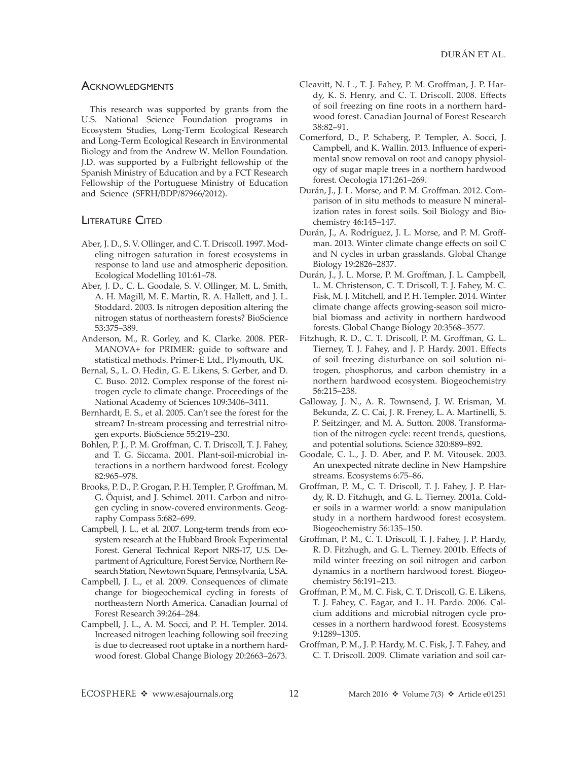#### **ACKNOWLEDGMENTS**

This research was supported by grants from the U.S. National Science Foundation programs in Ecosystem Studies, Long-Term Ecological Research and Long-Term Ecological Research in Environmental Biology and from the Andrew W. Mellon Foundation. J.D. was supported by a Fulbright fellowship of the Spanish Ministry of Education and by a FCT Research Fellowship of the Portuguese Ministry of Education and Science (SFRH/BDP/87966/2012).

### **LITERATURE CITED**

- Aber, J. D., S. V. Ollinger, and C. T. Driscoll. 1997. Modeling nitrogen saturation in forest ecosystems in response to land use and atmospheric deposition. Ecological Modelling 101:61–78.
- Aber, J. D., C. L. Goodale, S. V. Ollinger, M. L. Smith, A. H. Magill, M. E. Martin, R. A. Hallett, and J. L. Stoddard. 2003. Is nitrogen deposition altering the nitrogen status of northeastern forests? BioScience 53:375–389.
- Anderson, M., R. Gorley, and K. Clarke. 2008. PER-MANOVA+ for PRIMER: guide to software and statistical methods. Primer-E Ltd., Plymouth, UK.
- Bernal, S., L. O. Hedin, G. E. Likens, S. Gerber, and D. C. Buso. 2012. Complex response of the forest nitrogen cycle to climate change. Proceedings of the National Academy of Sciences 109:3406–3411.
- Bernhardt, E. S., et al. 2005. Can't see the forest for the stream? In-stream processing and terrestrial nitrogen exports. BioScience 55:219–230.
- Bohlen, P. J., P. M. Groffman, C. T. Driscoll, T. J. Fahey, and T. G. Siccama. 2001. Plant-soil-microbial interactions in a northern hardwood forest. Ecology 82:965–978.
- Brooks, P. D., P. Grogan, P. H. Templer, P. Groffman, M. G. Öquist, and J. Schimel. 2011. Carbon and nitrogen cycling in snow-covered environments. Geography Compass 5:682–699.
- Campbell, J. L., et al. 2007. Long-term trends from ecosystem research at the Hubbard Brook Experimental Forest. General Technical Report NRS-17, U.S. Department of Agriculture, Forest Service, Northern Research Station, Newtown Square, Pennsylvania, USA.
- Campbell, J. L., et al. 2009. Consequences of climate change for biogeochemical cycling in forests of northeastern North America. Canadian Journal of Forest Research 39:264–284.
- Campbell, J. L., A. M. Socci, and P. H. Templer. 2014. Increased nitrogen leaching following soil freezing is due to decreased root uptake in a northern hardwood forest. Global Change Biology 20:2663–2673.
- Cleavitt, N. L., T. J. Fahey, P. M. Groffman, J. P. Hardy, K. S. Henry, and C. T. Driscoll. 2008. Effects of soil freezing on fine roots in a northern hardwood forest. Canadian Journal of Forest Research 38:82–91.
- Comerford, D., P. Schaberg, P. Templer, A. Socci, J. Campbell, and K. Wallin. 2013. Influence of experimental snow removal on root and canopy physiology of sugar maple trees in a northern hardwood forest. Oecologia 171:261–269.
- Durán, J., J. L. Morse, and P. M. Groffman. 2012. Comparison of in situ methods to measure N mineralization rates in forest soils. Soil Biology and Biochemistry 46:145–147.
- Durán, J., A. Rodríguez, J. L. Morse, and P. M. Groffman. 2013. Winter climate change effects on soil C and N cycles in urban grasslands. Global Change Biology 19:2826–2837.
- Durán, J., J. L. Morse, P. M. Groffman, J. L. Campbell, L. M. Christenson, C. T. Driscoll, T. J. Fahey, M. C. Fisk, M. J. Mitchell, and P. H. Templer. 2014. Winter climate change affects growing-season soil microbial biomass and activity in northern hardwood forests. Global Change Biology 20:3568–3577.
- Fitzhugh, R. D., C. T. Driscoll, P. M. Groffman, G. L. Tierney, T. J. Fahey, and J. P. Hardy. 2001. Effects of soil freezing disturbance on soil solution nitrogen, phosphorus, and carbon chemistry in a northern hardwood ecosystem. Biogeochemistry 56:215–238.
- Galloway, J. N., A. R. Townsend, J. W. Erisman, M. Bekunda, Z. C. Cai, J. R. Freney, L. A. Martinelli, S. P. Seitzinger, and M. A. Sutton. 2008. Transformation of the nitrogen cycle: recent trends, questions, and potential solutions. Science 320:889–892.
- Goodale, C. L., J. D. Aber, and P. M. Vitousek. 2003. An unexpected nitrate decline in New Hampshire streams. Ecosystems 6:75–86.
- Groffman, P. M., C. T. Driscoll, T. J. Fahey, J. P. Hardy, R. D. Fitzhugh, and G. L. Tierney. 2001a. Colder soils in a warmer world: a snow manipulation study in a northern hardwood forest ecosystem. Biogeochemistry 56:135–150.
- Groffman, P. M., C. T. Driscoll, T. J. Fahey, J. P. Hardy, R. D. Fitzhugh, and G. L. Tierney. 2001b. Effects of mild winter freezing on soil nitrogen and carbon dynamics in a northern hardwood forest. Biogeochemistry 56:191–213.
- Groffman, P. M., M. C. Fisk, C. T. Driscoll, G. E. Likens, T. J. Fahey, C. Eagar, and L. H. Pardo. 2006. Calcium additions and microbial nitrogen cycle processes in a northern hardwood forest. Ecosystems 9:1289–1305.
- Groffman, P. M., J. P. Hardy, M. C. Fisk, J. T. Fahey, and C. T. Driscoll. 2009. Climate variation and soil car-

ECOSPHERE \* www.esajournals.org 12 March 2016 \* Volume 7(3) \* Article e01251